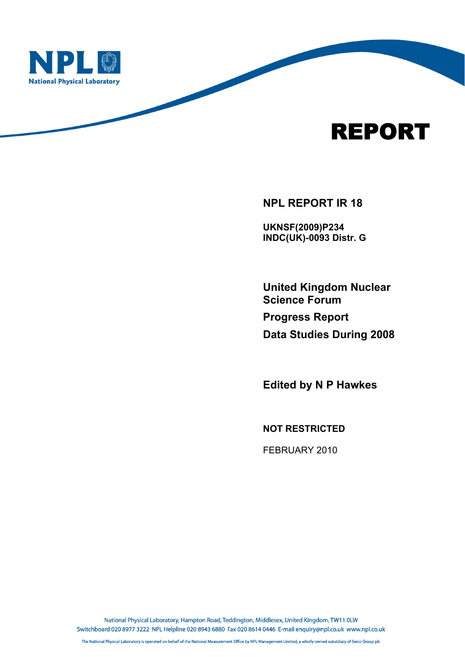

# REPORT

**NPL REPORT IR 18** 

**UKNSF(2009)P234 INDC(UK)-0093 Distr. G** 

**United Kingdom Nuclear Science Forum** 

**Progress Report** 

**Data Studies During 2008** 

**Edited by N P Hawkes** 

**NOT RESTRICTED** 

FEBRUARY 2010

National Physical Laboratory, Hampton Road, Teddington, Middlesex, United Kingdom, TW11 0LW Switchboard 020 8977 3222 NPL Helpline 020 8943 6880 Fax 020 8614 0446 E-mail enquiry@npl.co.uk www.npl.co.uk

The National Physical Laboratory is operated on behalf of the National Measurement Office by NPL Management Limited, a wholly owned subsidiary of Serco Group plc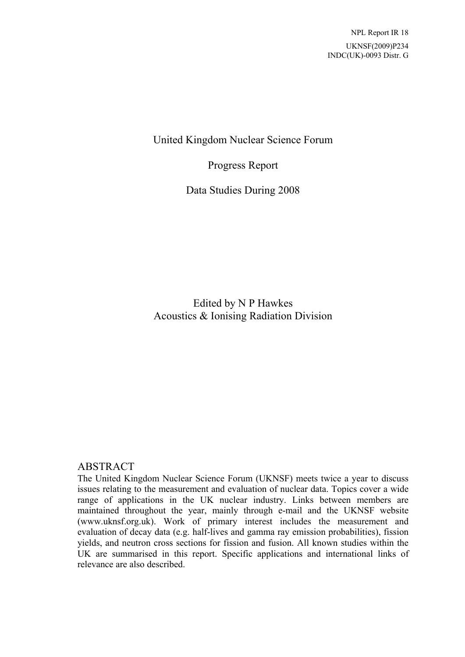NPL Report IR 18 UKNSF(2009)P234 INDC(UK)-0093 Distr. G

United Kingdom Nuclear Science Forum

Progress Report

Data Studies During 2008

Edited by N P Hawkes Acoustics & Ionising Radiation Division

## ABSTRACT

The United Kingdom Nuclear Science Forum (UKNSF) meets twice a year to discuss issues relating to the measurement and evaluation of nuclear data. Topics cover a wide range of applications in the UK nuclear industry. Links between members are maintained throughout the year, mainly through e-mail and the UKNSF website (www.uknsf.org.uk). Work of primary interest includes the measurement and evaluation of decay data (e.g. half-lives and gamma ray emission probabilities), fission yields, and neutron cross sections for fission and fusion. All known studies within the UK are summarised in this report. Specific applications and international links of relevance are also described.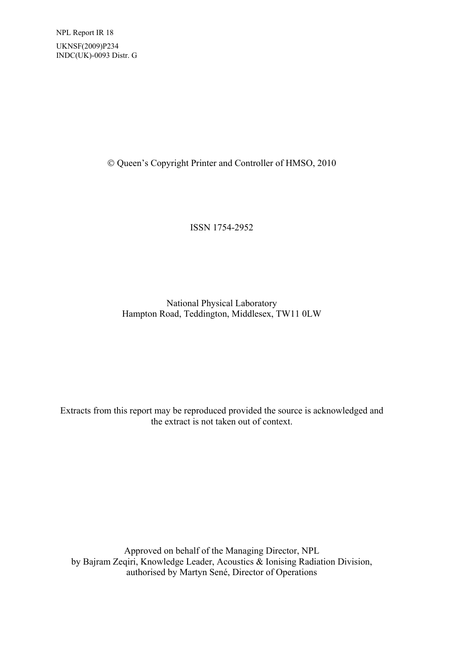UKNSF(2009)P234 INDC(UK)-0093 Distr. G

© Queen's Copyright Printer and Controller of HMSO, 2010

ISSN 1754-2952

National Physical Laboratory Hampton Road, Teddington, Middlesex, TW11 0LW

Extracts from this report may be reproduced provided the source is acknowledged and the extract is not taken out of context.

Approved on behalf of the Managing Director, NPL by Bajram Zeqiri, Knowledge Leader, Acoustics & Ionising Radiation Division, authorised by Martyn Sené, Director of Operations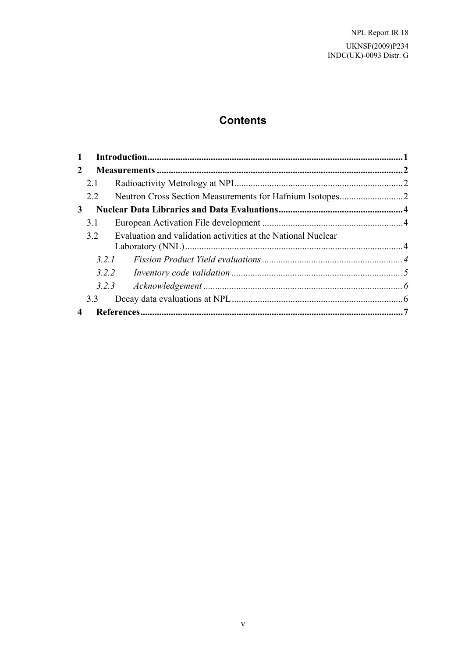NPL Report IR 18 UKNSF(2009)P234 INDC(UK)-0093 Distr. G

# **Contents**

| $\mathbf{1}$ |       |                                                              |  |
|--------------|-------|--------------------------------------------------------------|--|
| 2            |       |                                                              |  |
|              | 2.1   |                                                              |  |
|              | 2.2   |                                                              |  |
| 3            |       |                                                              |  |
|              | 3.1   |                                                              |  |
|              | 3.2   | Evaluation and validation activities at the National Nuclear |  |
|              | 3.2.1 |                                                              |  |
|              | 3.2.2 |                                                              |  |
|              | 3.2.3 |                                                              |  |
|              | 3.3   |                                                              |  |
| 4            |       |                                                              |  |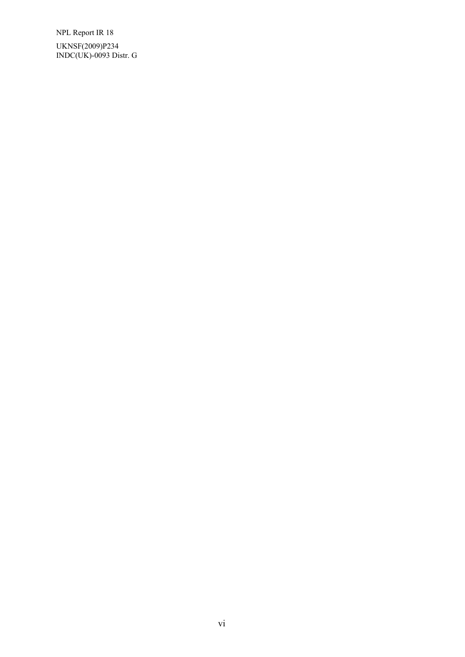NPL Report IR 18

UKNSF(2009)P234 INDC(UK)-0093 Distr. G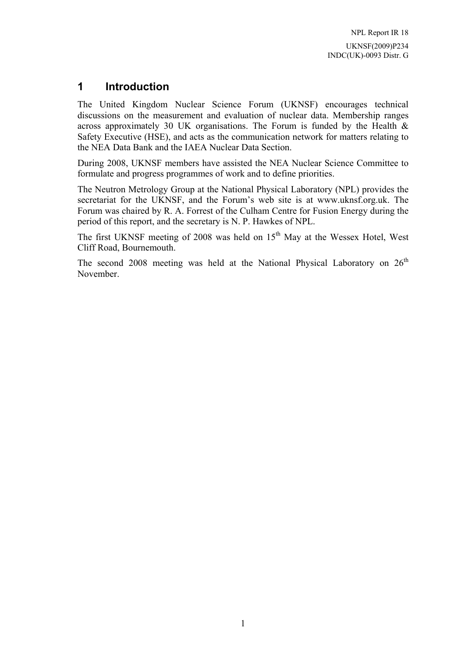# **1 Introduction**

The United Kingdom Nuclear Science Forum (UKNSF) encourages technical discussions on the measurement and evaluation of nuclear data. Membership ranges across approximately 30 UK organisations. The Forum is funded by the Health  $\&$ Safety Executive (HSE), and acts as the communication network for matters relating to the NEA Data Bank and the IAEA Nuclear Data Section.

During 2008, UKNSF members have assisted the NEA Nuclear Science Committee to formulate and progress programmes of work and to define priorities.

The Neutron Metrology Group at the National Physical Laboratory (NPL) provides the secretariat for the UKNSF, and the Forum's web site is at www.uknsf.org.uk. The Forum was chaired by R. A. Forrest of the Culham Centre for Fusion Energy during the period of this report, and the secretary is N. P. Hawkes of NPL.

The first UKNSF meeting of 2008 was held on  $15<sup>th</sup>$  May at the Wessex Hotel, West Cliff Road, Bournemouth.

The second 2008 meeting was held at the National Physical Laboratory on  $26<sup>th</sup>$ November.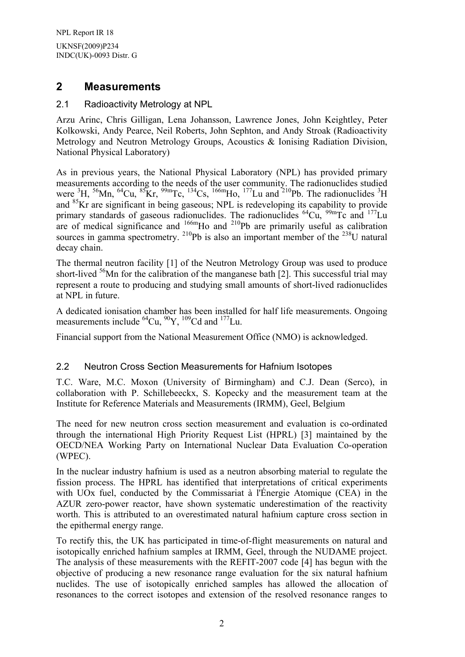# **2 Measurements**

#### 2.1 Radioactivity Metrology at NPL

Arzu Arinc, Chris Gilligan, Lena Johansson, Lawrence Jones, John Keightley, Peter Kolkowski, Andy Pearce, Neil Roberts, John Sephton, and Andy Stroak (Radioactivity Metrology and Neutron Metrology Groups, Acoustics & Ionising Radiation Division, National Physical Laboratory)

As in previous years, the National Physical Laboratory (NPL) has provided primary measurements according to the needs of the user community. The radionuclides studied were <sup>3</sup>H, <sup>56</sup>Mn, <sup>64</sup>Cu, <sup>85</sup>Kr, <sup>99m</sup>Tc, <sup>134</sup>Cs, <sup>166m</sup>Ho, <sup>177</sup>Lu and <sup>210</sup>Pb. The radionuclides <sup>3</sup>H and 85Kr are significant in being gaseous; NPL is redeveloping its capability to provide primary standards of gaseous radionuclides. The radionuclides <sup>64</sup>Cu, <sup>99m</sup>Tc and <sup>177</sup>Lu are of medical significance and <sup>166m</sup>Ho and <sup>210</sup>Pb are primarily useful as calibration sources in gamma spectrometry.  $^{210}Pb$  is also an important member of the  $^{238}U$  natural decay chain.

The thermal neutron facility [1] of the Neutron Metrology Group was used to produce short-lived  $56$ Mn for the calibration of the manganese bath [2]. This successful trial may represent a route to producing and studying small amounts of short-lived radionuclides at NPL in future.

A dedicated ionisation chamber has been installed for half life measurements. Ongoing measurements include  ${}^{64}Cu$ ,  ${}^{90}Y$ ,  ${}^{109}Cd$  and  ${}^{177}Lu$ .

Financial support from the National Measurement Office (NMO) is acknowledged.

### 2.2 Neutron Cross Section Measurements for Hafnium Isotopes

T.C. Ware, M.C. Moxon (University of Birmingham) and C.J. Dean (Serco), in collaboration with P. Schillebeeckx, S. Kopecky and the measurement team at the Institute for Reference Materials and Measurements (IRMM), Geel, Belgium

The need for new neutron cross section measurement and evaluation is co-ordinated through the international High Priority Request List (HPRL) [3] maintained by the OECD/NEA Working Party on International Nuclear Data Evaluation Co-operation (WPEC).

In the nuclear industry hafnium is used as a neutron absorbing material to regulate the fission process. The HPRL has identified that interpretations of critical experiments with UOx fuel, conducted by the Commissariat à l'Énergie Atomique (CEA) in the AZUR zero-power reactor, have shown systematic underestimation of the reactivity worth. This is attributed to an overestimated natural hafnium capture cross section in the epithermal energy range.

To rectify this, the UK has participated in time-of-flight measurements on natural and isotopically enriched hafnium samples at IRMM, Geel, through the NUDAME project. The analysis of these measurements with the REFIT-2007 code [4] has begun with the objective of producing a new resonance range evaluation for the six natural hafnium nuclides. The use of isotopically enriched samples has allowed the allocation of resonances to the correct isotopes and extension of the resolved resonance ranges to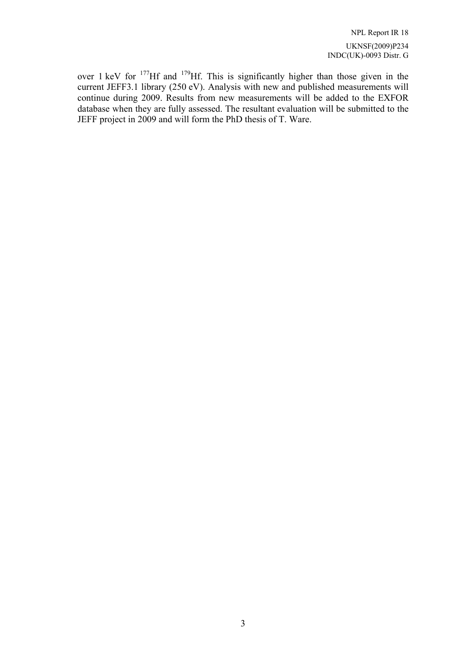over 1 keV for <sup>177</sup>Hf and <sup>179</sup>Hf. This is significantly higher than those given in the current JEFF3.1 library (250 eV). Analysis with new and published measurements will continue during 2009. Results from new measurements will be added to the EXFOR database when they are fully assessed. The resultant evaluation will be submitted to the JEFF project in 2009 and will form the PhD thesis of T. Ware.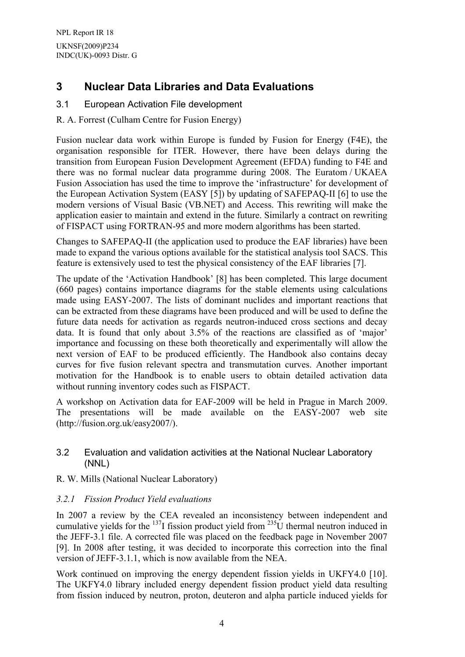# **3 Nuclear Data Libraries and Data Evaluations**

- 3.1 European Activation File development
- R. A. Forrest (Culham Centre for Fusion Energy)

Fusion nuclear data work within Europe is funded by Fusion for Energy (F4E), the organisation responsible for ITER. However, there have been delays during the transition from European Fusion Development Agreement (EFDA) funding to F4E and there was no formal nuclear data programme during 2008. The Euratom / UKAEA Fusion Association has used the time to improve the 'infrastructure' for development of the European Activation System (EASY [5]) by updating of SAFEPAQ-II [6] to use the modern versions of Visual Basic (VB.NET) and Access. This rewriting will make the application easier to maintain and extend in the future. Similarly a contract on rewriting of FISPACT using FORTRAN-95 and more modern algorithms has been started.

Changes to SAFEPAQ-II (the application used to produce the EAF libraries) have been made to expand the various options available for the statistical analysis tool SACS. This feature is extensively used to test the physical consistency of the EAF libraries [7].

The update of the 'Activation Handbook' [8] has been completed. This large document (660 pages) contains importance diagrams for the stable elements using calculations made using EASY-2007. The lists of dominant nuclides and important reactions that can be extracted from these diagrams have been produced and will be used to define the future data needs for activation as regards neutron-induced cross sections and decay data. It is found that only about 3.5% of the reactions are classified as of 'major' importance and focussing on these both theoretically and experimentally will allow the next version of EAF to be produced efficiently. The Handbook also contains decay curves for five fusion relevant spectra and transmutation curves. Another important motivation for the Handbook is to enable users to obtain detailed activation data without running inventory codes such as FISPACT.

A workshop on Activation data for EAF-2009 will be held in Prague in March 2009. The presentations will be made available on the EASY-2007 web site (http://fusion.org.uk/easy2007/).

## 3.2 Evaluation and validation activities at the National Nuclear Laboratory (NNL)

R. W. Mills (National Nuclear Laboratory)

### *3.2.1 Fission Product Yield evaluations*

In 2007 a review by the CEA revealed an inconsistency between independent and cumulative yields for the  $^{137}$ I fission product yield from  $^{235}$ U thermal neutron induced in the JEFF-3.1 file. A corrected file was placed on the feedback page in November 2007 [9]. In 2008 after testing, it was decided to incorporate this correction into the final version of JEFF-3.1.1, which is now available from the NEA.

Work continued on improving the energy dependent fission yields in UKFY4.0 [10]. The UKFY4.0 library included energy dependent fission product yield data resulting from fission induced by neutron, proton, deuteron and alpha particle induced yields for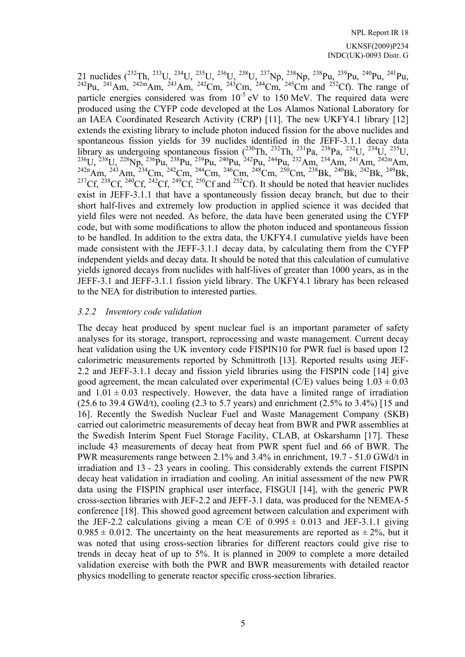INDC(UK)-0093 Distr. G

21 nuclides  $(^{232}Th, ^{233}U, ^{234}U, ^{235}U, ^{236}U, ^{238}U, ^{237}Np, ^{238}Np, ^{238}Pu, ^{239}Pu, ^{240}Pu, ^{241}Pu,$  $^{242}$ Pu,  $^{241}$ Am,  $^{242m}$ Am,  $^{243}$ Am,  $^{242}$ Cm,  $^{243}$ Cm,  $^{244}$ Cm,  $^{245}$ Cm and  $^{252}$ Cf). The range of particle energies considered was from  $10^{-5}$  eV to 150 MeV. The required data were produced using the CYFP code developed at the Los Alamos National Laboratory for an IAEA Coordinated Research Activity (CRP) [11]. The new UKFY4.1 library [12] extends the existing library to include photon induced fission for the above nuclides and spontaneous fission yields for 39 nuclides identified in the JEFF-3.1.1 decay data library as undergoing spontaneous fission  $(^{230}Th, \frac{232}{1}Th, \frac{231}{1}Pa, \frac{238}{1}Pa, \frac{232}{1}U, \frac{234}{1}U, \frac{235}{1}U,$  $^{236}$ U,  $^{238}$ U,  $^{228}$ Np,  $^{236}$ Pu,  $^{238}$ Pu,  $^{239}$ Pu,  $^{240}$ Pu,  $^{242}$ Pu,  $^{244}$ Pu,  $^{232}$ Am,  $^{234}$ Am,  $^{241}$ Am,  $^{242}$ mAm,  $^{242n}$ Am,  $^{243}$ Am,  $^{234}$ Cm,  $^{242}$ Cm,  $^{244}$ Cm,  $^{246}$ Cm,  $^{248}$ Cm,  $^{250}$ Cm,  $^{238}$ Bk,  $^{240}$ Bk,  $^{242}$ Bk,  $^{249}$ Bk, <sup>237</sup>Cf, <sup>238</sup>Cf, <sup>240</sup>Cf, <sup>242</sup>Cf, <sup>249</sup>Cf, <sup>250</sup>Cf and <sup>252</sup>Cf). It should be noted that heavier nuclides exist in JEFF-3.1.1 that have a spontaneously fission decay branch, but due to their short half-lives and extremely low production in applied science it was decided that yield files were not needed. As before, the data have been generated using the CYFP code, but with some modifications to allow the photon induced and spontaneous fission to be handled. In addition to the extra data, the UKFY4.1 cumulative yields have been made consistent with the JEFF-3.1.1 decay data, by calculating them from the CYFP independent yields and decay data. It should be noted that this calculation of cumulative yields ignored decays from nuclides with half-lives of greater than 1000 years, as in the JEFF-3.1 and JEFF-3.1.1 fission yield library. The UKFY4.1 library has been released to the NEA for distribution to interested parties.

#### *3.2.2 Inventory code validation*

The decay heat produced by spent nuclear fuel is an important parameter of safety analyses for its storage, transport, reprocessing and waste management. Current decay heat validation using the UK inventory code FISPIN10 for PWR fuel is based upon 12 calorimetric measurements reported by Schmittroth [13]. Reported results using JEF-2.2 and JEFF-3.1.1 decay and fission yield libraries using the FISPIN code [14] give good agreement, the mean calculated over experimental (C/E) values being  $1.03 \pm 0.03$ and  $1.01 \pm 0.03$  respectively. However, the data have a limited range of irradiation  $(25.6 \text{ to } 39.4 \text{ GWd/t})$ , cooling  $(2.3 \text{ to } 5.7 \text{ years})$  and enrichment  $(2.5\% \text{ to } 3.4\%)$  [15 and 16]. Recently the Swedish Nuclear Fuel and Waste Management Company (SKB) carried out calorimetric measurements of decay heat from BWR and PWR assemblies at the Swedish Interim Spent Fuel Storage Facility, CLAB, at Oskarshamn [17]. These include 43 measurements of decay heat from PWR spent fuel and 66 of BWR. The PWR measurements range between 2.1% and 3.4% in enrichment, 19.7 - 51.0 GWd/t in irradiation and 13 - 23 years in cooling. This considerably extends the current FISPIN decay heat validation in irradiation and cooling. An initial assessment of the new PWR data using the FISPIN graphical user interface, FISGUI [14], with the generic PWR cross-section libraries with JEF-2.2 and JEFF-3.1 data, was produced for the NEMEA-5 conference [18]. This showed good agreement between calculation and experiment with the JEF-2.2 calculations giving a mean C/E of  $0.995 \pm 0.013$  and JEF-3.1.1 giving  $0.985 \pm 0.012$ . The uncertainty on the heat measurements are reported as  $\pm 2\%$ , but it was noted that using cross-section libraries for different reactors could give rise to trends in decay heat of up to 5%. It is planned in 2009 to complete a more detailed validation exercise with both the PWR and BWR measurements with detailed reactor physics modelling to generate reactor specific cross-section libraries.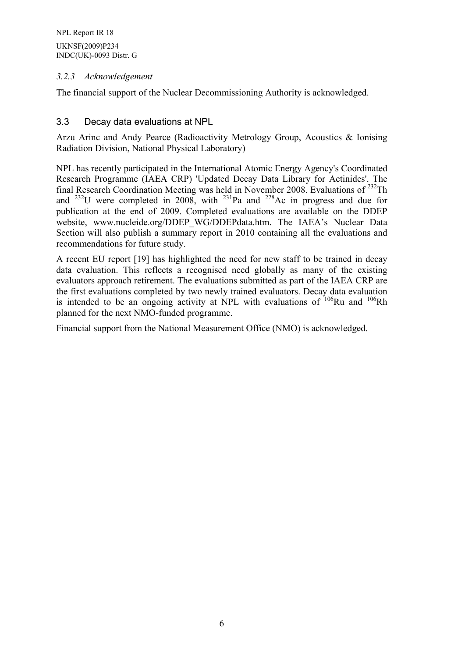UKNSF(2009)P234 INDC(UK)-0093 Distr. G

### *3.2.3 Acknowledgement*

The financial support of the Nuclear Decommissioning Authority is acknowledged.

## 3.3 Decay data evaluations at NPL

Arzu Arinc and Andy Pearce (Radioactivity Metrology Group, Acoustics & Ionising Radiation Division, National Physical Laboratory)

NPL has recently participated in the International Atomic Energy Agency's Coordinated Research Programme (IAEA CRP) 'Updated Decay Data Library for Actinides'. The final Research Coordination Meeting was held in November 2008. Evaluations of  $^{232}$ Th and <sup>232</sup>U were completed in 2008, with <sup>231</sup>Pa and <sup>228</sup>Ac in progress and due for publication at the end of 2009. Completed evaluations are available on the DDEP website, www.nucleide.org/DDEP\_WG/DDEPdata.htm. The IAEA's Nuclear Data Section will also publish a summary report in 2010 containing all the evaluations and recommendations for future study.

A recent EU report [19] has highlighted the need for new staff to be trained in decay data evaluation. This reflects a recognised need globally as many of the existing evaluators approach retirement. The evaluations submitted as part of the IAEA CRP are the first evaluations completed by two newly trained evaluators. Decay data evaluation is intended to be an ongoing activity at NPL with evaluations of  $106$ Ru and  $106$ Rh planned for the next NMO-funded programme.

Financial support from the National Measurement Office (NMO) is acknowledged.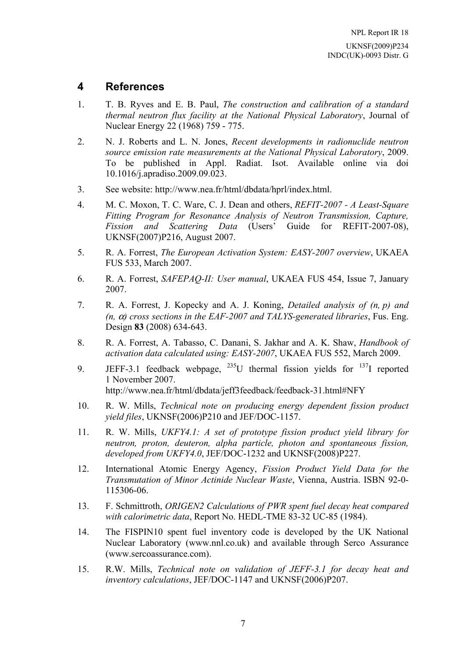## **4 References**

- 1. T. B. Ryves and E. B. Paul, *The construction and calibration of a standard thermal neutron flux facility at the National Physical Laboratory*, Journal of Nuclear Energy 22 (1968) 759 - 775.
- 2. N. J. Roberts and L. N. Jones, *Recent developments in radionuclide neutron source emission rate measurements at the National Physical Laboratory*, 2009. To be published in Appl. Radiat. Isot. Available online via doi 10.1016/j.apradiso.2009.09.023.
- 3. See website: http://www.nea.fr/html/dbdata/hprl/index.html.
- 4. M. C. Moxon, T. C. Ware, C. J. Dean and others, *REFIT-2007 A Least-Square Fitting Program for Resonance Analysis of Neutron Transmission, Capture, Fission and Scattering Data* (Users' Guide for REFIT-2007-08), UKNSF(2007)P216, August 2007.
- 5. R. A. Forrest, *The European Activation System: EASY-2007 overview*, UKAEA FUS 533, March 2007.
- 6. R. A. Forrest, *SAFEPAQ-II: User manual*, UKAEA FUS 454, Issue 7, January 2007.
- 7. R. A. Forrest, J. Kopecky and A. J. Koning, *Detailed analysis of (n, p) and (n,* α*) cross sections in the EAF-2007 and TALYS-generated libraries*, Fus. Eng. Design **83** (2008) 634-643.
- 8. R. A. Forrest, A. Tabasso, C. Danani, S. Jakhar and A. K. Shaw, *Handbook of activation data calculated using: EASY-2007*, UKAEA FUS 552, March 2009.
- 9. JEFF-3.1 feedback webpage,  $^{235}$ U thermal fission yields for  $^{137}$ I reported 1 November 2007. http://www.nea.fr/html/dbdata/jeff3feedback/feedback-31.html#NFY
- 10. R. W. Mills, *Technical note on producing energy dependent fission product yield files*, UKNSF(2006)P210 and JEF/DOC-1157.
- 11. R. W. Mills, *UKFY4.1: A set of prototype fission product yield library for neutron, proton, deuteron, alpha particle, photon and spontaneous fission, developed from UKFY4.0*, JEF/DOC-1232 and UKNSF(2008)P227.
- 12. International Atomic Energy Agency, *Fission Product Yield Data for the Transmutation of Minor Actinide Nuclear Waste*, Vienna, Austria. ISBN 92-0- 115306-06.
- 13. F. Schmittroth, *ORIGEN2 Calculations of PWR spent fuel decay heat compared with calorimetric data*, Report No. HEDL-TME 83-32 UC-85 (1984).
- 14. The FISPIN10 spent fuel inventory code is developed by the UK National Nuclear Laboratory (www.nnl.co.uk) and available through Serco Assurance (www.sercoassurance.com).
- 15. R.W. Mills, *Technical note on validation of JEFF-3.1 for decay heat and inventory calculations*, JEF/DOC-1147 and UKNSF(2006)P207.